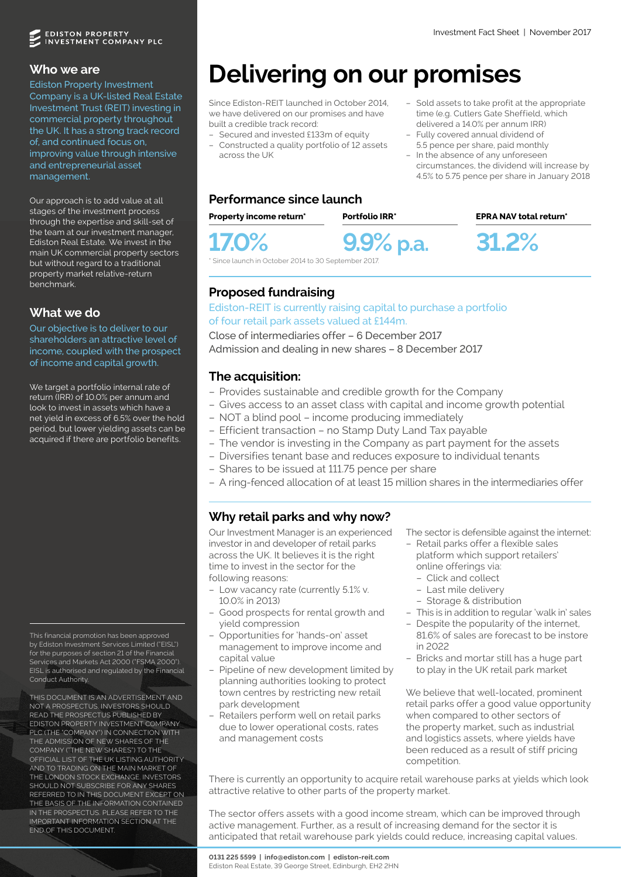

Ediston Property Investment Company is a UK-listed Real Estate Investment Trust (REIT) investing in commercial property throughout the UK. It has a strong track record of, and continued focus on, improving value through intensive and entrepreneurial asset management.

Our approach is to add value at all stages of the investment process through the expertise and skill-set of the team at our investment manager, Ediston Real Estate. We invest in the main UK commercial property sectors but without regard to a traditional property market relative-return benchmark.

### **What we do**

Our objective is to deliver to our shareholders an attractive level of income, coupled with the prospect of income and capital growth.

We target a portfolio internal rate of return (IRR) of 10.0% per annum and look to invest in assets which have a net yield in excess of 6.5% over the hold period, but lower yielding assets can be acquired if there are portfolio benefits.

This financial promotion has been approved by Ediston Investment Services Limited ("EISL") for the purposes of section 21 of the Financial Services and Markets Act 2000 ("FSMA 2000"). EISL is authorised and regulated by the Financial Conduct Authority.

THIS DOCUMENT IS AN ADVERTISEMENT AND NOT A PROSPECTUS. INVESTORS SHOULD READ THE PROSPECTUS PUBLISHED BY EDISTON PROPERTY INVESTMENT COMPANY PLC (THE "COMPANY") IN CONNECTION WITH THE ADMISSION OF NEW SHARES OF THE COMPANY ("THE NEW SHARES") TO THE OFFICIAL LIST OF THE UK LISTING AUTHORITY AND TO TRADING ON THE MAIN MARKET OF THE LONDON STOCK EXCHANGE. INVESTORS SHOULD NOT SUBSCRIBE FOR ANY SHARES REFERRED TO IN THIS DOCUMENT EXCEPT ON THE BASIS OF THE INFORMATION CONTAINED IN THE PROSPECTUS. PLEASE REFER TO THE IMPORTANT INFORMATION SECTION AT THE END OF THIS DOCUMENT.

# **Delivering on our promises**

Since Ediston-REIT launched in October 2014, we have delivered on our promises and have built a credible track record:

- Secured and invested £133m of equity
- Constructed a quality portfolio of 12 assets across the UK
- Sold assets to take profit at the appropriate time (e.g. Cutlers Gate Sheffield, which delivered a 14.0% per annum IRR)
- Fully covered annual dividend of 5.5 pence per share, paid monthly
- In the absence of any unforeseen circumstances, the dividend will increase by 4.5% to 5.75 pence per share in January 2018

# **Performance since launch**

**Property income return\***

**Portfolio IRR\***







**EPRA NAV total return\***

Since launch in October 2014 to 30 September 2017

# **Proposed fundraising**

### Ediston-REIT is currently raising capital to purchase a portfolio of four retail park assets valued at £144m.

Close of intermediaries offer – 6 December 2017 Admission and dealing in new shares – 8 December 2017

# **The acquisition:**

- Provides sustainable and credible growth for the Company
- Gives access to an asset class with capital and income growth potential
- NOT a blind pool income producing immediately
- Efficient transaction no Stamp Duty Land Tax payable
- The vendor is investing in the Company as part payment for the assets
- Diversifies tenant base and reduces exposure to individual tenants
- Shares to be issued at 111.75 pence per share
- A ring-fenced allocation of at least 15 million shares in the intermediaries offer

# **Why retail parks and why now?**

Our Investment Manager is an experienced investor in and developer of retail parks across the UK. It believes it is the right time to invest in the sector for the following reasons:

- Low vacancy rate (currently 5.1% v. 10.0% in 2013)
- Good prospects for rental growth and yield compression
- Opportunities for 'hands-on' asset management to improve income and capital value
- Pipeline of new development limited by planning authorities looking to protect town centres by restricting new retail park development
- Retailers perform well on retail parks due to lower operational costs, rates and management costs

The sector is defensible against the internet:

- Retail parks offer a flexible sales platform which support retailers' online offerings via:
	- Click and collect
	- Last mile delivery
	- Storage & distribution
- This is in addition to regular 'walk in' sales
- Despite the popularity of the internet, 81.6% of sales are forecast to be instore in 2022
- Bricks and mortar still has a huge part to play in the UK retail park market

We believe that well-located, prominent retail parks offer a good value opportunity when compared to other sectors of the property market, such as industrial and logistics assets, where yields have been reduced as a result of stiff pricing competition.

There is currently an opportunity to acquire retail warehouse parks at yields which look attractive relative to other parts of the property market.

The sector offers assets with a good income stream, which can be improved through active management. Further, as a result of increasing demand for the sector it is anticipated that retail warehouse park yields could reduce, increasing capital values.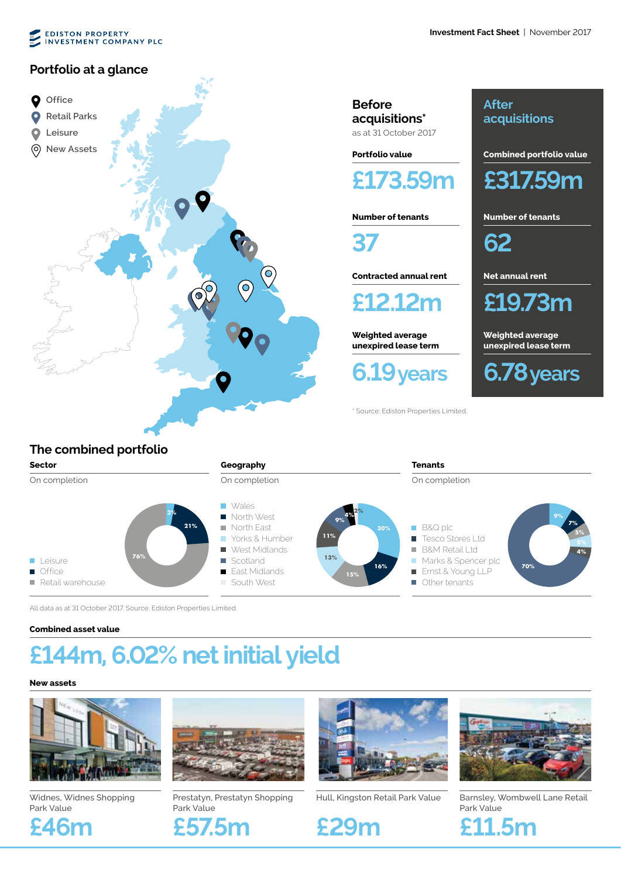# **EDISTON PROPERTY**<br>INVESTMENT COMPANY PLC

### **Portfolio at a glance**



**Before acquisitions\*** as at 31 October 2017

**Portfolio value**

**£173.59m**

**Number of tenants**

**37**

**Contracted annual rent**

**212r** 

**Weighted average unexpired lease term**

**6.19years**

\* Source: Ediston Properties Limited.

**After acquisitions**

**Combined portfolio value**

**£317.59m**

**Number of tenants**

**62**

**Net annual rent**

**£19.73m**

**Weighted average unexpired lease term**

# **6.78years**

## **The combined portfolio**

#### **Sector**

On completion

Leisure **Office** 

 $\mathbf{r}$ 

m.





**15%**

B&Q plc **Tesco Stores Ltd** B&M Retail Ltd Ē. Marks & Spencer plc **16%** Ernst & Young LLP

**Tenants** On completion

Other tenants



All data as at 31 October 2017. Source: Ediston Properties Limited.

#### **Combined asset value**

Retail warehouse

# **£144m, 6.02% net initial yield**

#### **New assets**



Widnes, Widnes Shopping Park Value





Prestatyn, Prestatyn Shopping Park Value





Hull, Kingston Retail Park Value





Barnsley, Wombwell Lane Retail Park Value

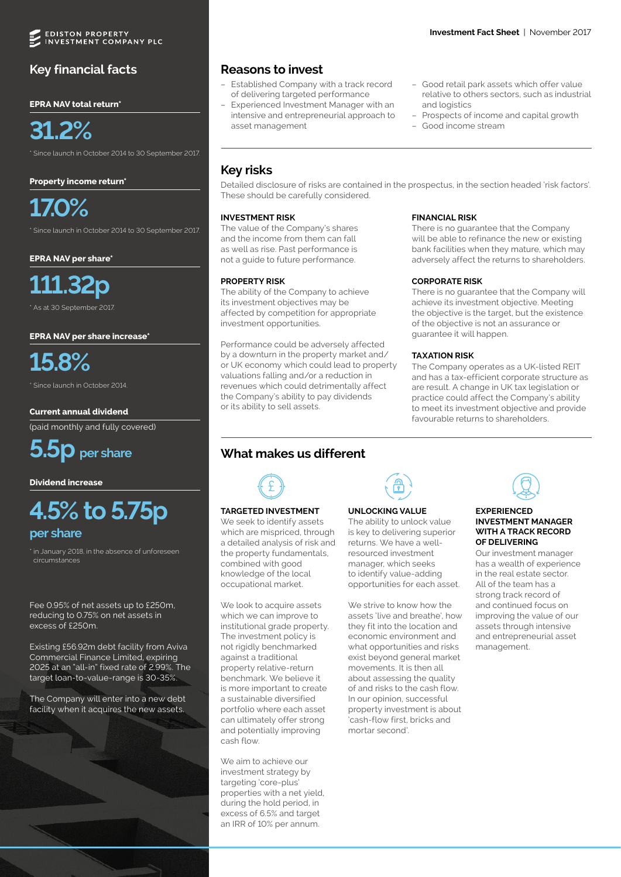# **Key financial facts Reasons to invest**

**EPRA NAV total return\***



Since launch in October 2014 to 30 September 2017.

#### **Property income return\***

**17.0%**

\* Since launch in October 2014 to 30 September 2017.

**EPRA NAV per share\***

**111.32p**

\* As at 30 September 2017.

#### **EPRA NAV per share increase\***

**15.8%**

Since launch in October 2014.

**Current annual dividend**

(paid monthly and fully covered)

**50** per share

#### **Dividend increase**

# **4.5% to 5.75p per share**

\* in January 2018, in the absence of unforeseen circumstances

Fee 0.95% of net assets up to £250m, reducing to 0.75% on net assets in excess of £250m.

Existing £56.92m debt facility from Aviva Commercial Finance Limited, expiring 2025 at an "all-in" fixed rate of 2.99%. The target loan-to-value-range is 30-35%.

The Company will enter into a new debt facility when it acquires the new assets.

- Established Company with a track record of delivering targeted performance
- Experienced Investment Manager with an intensive and entrepreneurial approach to asset management
- Good retail park assets which offer value relative to others sectors, such as industrial and logistics
- Prospects of income and capital growth
- Good income stream

## **Key risks**

Detailed disclosure of risks are contained in the prospectus, in the section headed 'risk factors'. These should be carefully considered.

#### **INVESTMENT RISK**

The value of the Company's shares and the income from them can fall as well as rise. Past performance is not a guide to future performance.

#### **PROPERTY RISK**

The ability of the Company to achieve its investment objectives may be affected by competition for appropriate investment opportunities.

Performance could be adversely affected by a downturn in the property market and/ or UK economy which could lead to property valuations falling and/or a reduction in revenues which could detrimentally affect the Company's ability to pay dividends or its ability to sell assets.

#### **FINANCIAL RISK**

There is no guarantee that the Company will be able to refinance the new or existing bank facilities when they mature, which may adversely affect the returns to shareholders.

#### **CORPORATE RISK**

There is no guarantee that the Company will achieve its investment objective. Meeting the objective is the target, but the existence of the objective is not an assurance or guarantee it will happen.

#### **TAXATION RISK**

The Company operates as a UK-listed REIT and has a tax-efficient corporate structure as are result. A change in UK tax legislation or practice could affect the Company's ability to meet its investment objective and provide favourable returns to shareholders.

# **What makes us different**



#### **TARGETED INVESTMENT**

We seek to identify assets which are mispriced, through a detailed analysis of risk and the property fundamentals, combined with good knowledge of the local occupational market.

We look to acquire assets which we can improve to institutional grade property. The investment policy is not rigidly benchmarked against a traditional property relative-return benchmark. We believe it is more important to create a sustainable diversified portfolio where each asset can ultimately offer strong and potentially improving cash flow.

We aim to achieve our investment strategy by targeting 'core-plus' properties with a net yield, during the hold period, in excess of 6.5% and target an IRR of 10% per annum.



#### **UNLOCKING VALUE**

The ability to unlock value is key to delivering superior returns. We have a wellresourced investment manager, which seeks to identify value-adding opportunities for each asset.

We strive to know how the assets 'live and breathe', how they fit into the location and economic environment and what opportunities and risks exist beyond general market movements. It is then all about assessing the quality of and risks to the cash flow. In our opinion, successful property investment is about 'cash-flow first, bricks and mortar second'.



#### **EXPERIENCED INVESTMENT MANAGER WITH A TRACK RECORD OF DELIVERING**

Our investment manager has a wealth of experience in the real estate sector. All of the team has a strong track record of and continued focus on improving the value of our assets through intensive and entrepreneurial asset management.